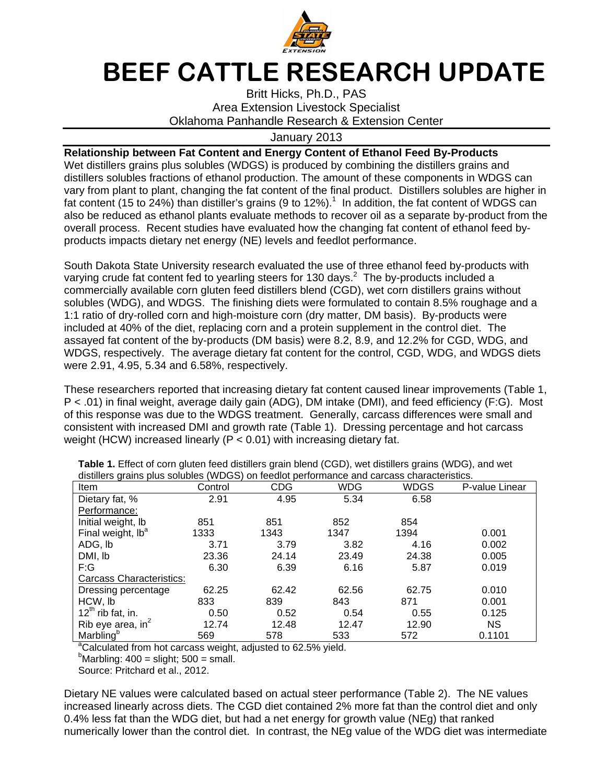

## BEEF CATTLE RESEARCH UPDATE

Britt Hicks, Ph.D., PAS Area Extension Livestock Specialist Oklahoma Panhandle Research & Extension Center

## January 2013

## **Relationship between Fat Content and Energy Content of Ethanol Feed By-Products**

Wet distillers grains plus solubles (WDGS) is produced by combining the distillers grains and distillers solubles fractions of ethanol production. The amount of these components in WDGS can vary from plant to plant, changing the fat content of the final product. Distillers solubles are higher in fat content (15 to 24%) than distiller's grains (9 to 12%).<sup>1</sup> In addition, the fat content of WDGS can also be reduced as ethanol plants evaluate methods to recover oil as a separate by-product from the overall process. Recent studies have evaluated how the changing fat content of ethanol feed byproducts impacts dietary net energy (NE) levels and feedlot performance.

South Dakota State University research evaluated the use of three ethanol feed by-products with varying crude fat content fed to yearling steers for 130 days. $^2$  The by-products included a commercially available corn gluten feed distillers blend (CGD), wet corn distillers grains without solubles (WDG), and WDGS. The finishing diets were formulated to contain 8.5% roughage and a 1:1 ratio of dry-rolled corn and high-moisture corn (dry matter, DM basis). By-products were included at 40% of the diet, replacing corn and a protein supplement in the control diet. The assayed fat content of the by-products (DM basis) were 8.2, 8.9, and 12.2% for CGD, WDG, and WDGS, respectively. The average dietary fat content for the control, CGD, WDG, and WDGS diets were 2.91, 4.95, 5.34 and 6.58%, respectively.

These researchers reported that increasing dietary fat content caused linear improvements (Table 1, P < .01) in final weight, average daily gain (ADG), DM intake (DMI), and feed efficiency (F:G). Most of this response was due to the WDGS treatment. Generally, carcass differences were small and consistent with increased DMI and growth rate (Table 1). Dressing percentage and hot carcass weight (HCW) increased linearly ( $P < 0.01$ ) with increasing dietary fat.

| Item                            | Control | <b>CDG</b> | <b>WDG</b> | WDGS  | P-value Linear |
|---------------------------------|---------|------------|------------|-------|----------------|
| Dietary fat, %                  | 2.91    | 4.95       | 5.34       | 6.58  |                |
| Performance:                    |         |            |            |       |                |
| Initial weight, lb              | 851     | 851        | 852        | 854   |                |
| Final weight, lb <sup>a</sup>   | 1333    | 1343       | 1347       | 1394  | 0.001          |
| ADG, lb                         | 3.71    | 3.79       | 3.82       | 4.16  | 0.002          |
| DMI, lb                         | 23.36   | 24.14      | 23.49      | 24.38 | 0.005          |
| F:G                             | 6.30    | 6.39       | 6.16       | 5.87  | 0.019          |
| <b>Carcass Characteristics:</b> |         |            |            |       |                |
| Dressing percentage             | 62.25   | 62.42      | 62.56      | 62.75 | 0.010          |
| HCW, lb                         | 833     | 839        | 843        | 871   | 0.001          |
| $12^{th}$ rib fat, in.          | 0.50    | 0.52       | 0.54       | 0.55  | 0.125          |
| Rib eye area, $in^2$            | 12.74   | 12.48      | 12.47      | 12.90 | <b>NS</b>      |
| Marbling <sup>b</sup>           | 569     | 578        | 533        | 572   | 0.1101         |

**Table 1.** Effect of corn gluten feed distillers grain blend (CGD), wet distillers grains (WDG), and wet distillers grains plus solubles (WDGS) on feedlot performance and carcass characteristics.

<sup>a</sup>Calculated from hot carcass weight, adjusted to 62.5% yield.

 $<sup>b</sup>$ Marbling: 400 = slight; 500 = small.</sup>

Source: Pritchard et al., 2012.

Dietary NE values were calculated based on actual steer performance (Table 2). The NE values increased linearly across diets. The CGD diet contained 2% more fat than the control diet and only 0.4% less fat than the WDG diet, but had a net energy for growth value (NEg) that ranked numerically lower than the control diet. In contrast, the NEg value of the WDG diet was intermediate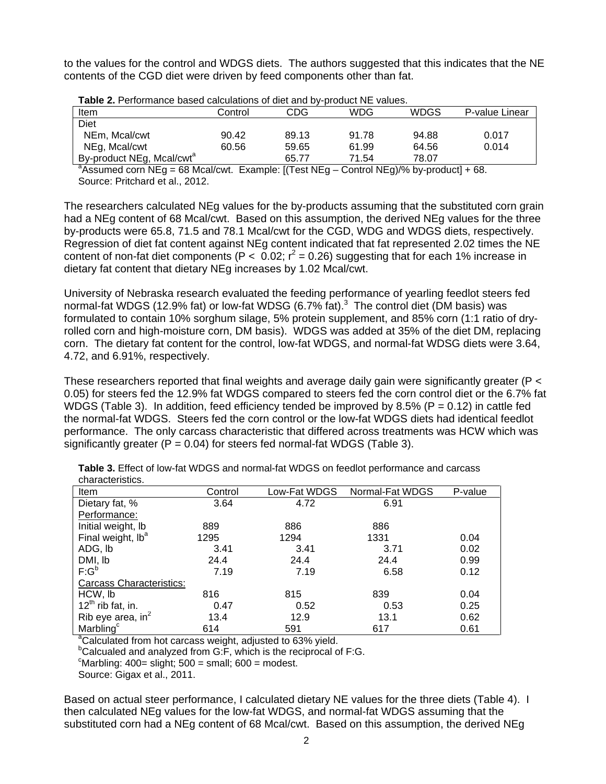to the values for the control and WDGS diets. The authors suggested that this indicates that the NE contents of the CGD diet were driven by feed components other than fat.

| <u>PIVUUVIIIE IUIUVUI</u>             |         |       |            |             |                |  |
|---------------------------------------|---------|-------|------------|-------------|----------------|--|
| Item                                  | Control | CDG   | <b>WDG</b> | <b>WDGS</b> | P-value Linear |  |
| Diet                                  |         |       |            |             |                |  |
| NEm, Mcal/cwt                         | 90.42   | 89.13 | 91.78      | 94.88       | 0.017          |  |
| NEg, Mcal/cwt                         | 60.56   | 59.65 | 61.99      | 64.56       | 0.014          |  |
| By-product NEg, Mcal/cwt <sup>a</sup> |         | 65.77 | 71.54      | 78.07       |                |  |
|                                       |         |       | .          |             |                |  |

| Table 2. Performance based calculations of diet and by-product NE values. |  |  |
|---------------------------------------------------------------------------|--|--|
|---------------------------------------------------------------------------|--|--|

<sup>a</sup>Assumed corn NEg = 68 Mcal/cwt. Example:  $[(Test NEg - Control NEg)/% by-product] + 68$ . Source: Pritchard et al., 2012.

The researchers calculated NEg values for the by-products assuming that the substituted corn grain had a NEg content of 68 Mcal/cwt. Based on this assumption, the derived NEg values for the three by-products were 65.8, 71.5 and 78.1 Mcal/cwt for the CGD, WDG and WDGS diets, respectively. Regression of diet fat content against NEg content indicated that fat represented 2.02 times the NE content of non-fat diet components (P < 0.02;  $r^2 = 0.26$ ) suggesting that for each 1% increase in dietary fat content that dietary NEg increases by 1.02 Mcal/cwt.

University of Nebraska research evaluated the feeding performance of yearling feedlot steers fed normal-fat WDGS (12.9% fat) or low-fat WDSG (6.7% fat). $3$  The control diet (DM basis) was formulated to contain 10% sorghum silage, 5% protein supplement, and 85% corn (1:1 ratio of dryrolled corn and high-moisture corn, DM basis). WDGS was added at 35% of the diet DM, replacing corn. The dietary fat content for the control, low-fat WDGS, and normal-fat WDSG diets were 3.64, 4.72, and 6.91%, respectively.

These researchers reported that final weights and average daily gain were significantly greater (P < 0.05) for steers fed the 12.9% fat WDGS compared to steers fed the corn control diet or the 6.7% fat WDGS (Table 3). In addition, feed efficiency tended be improved by 8.5% ( $P = 0.12$ ) in cattle fed the normal-fat WDGS. Steers fed the corn control or the low-fat WDGS diets had identical feedlot performance. The only carcass characteristic that differed across treatments was HCW which was significantly greater ( $P = 0.04$ ) for steers fed normal-fat WDGS (Table 3).

| Item                            | Control | Low-Fat WDGS | Normal-Fat WDGS | P-value |
|---------------------------------|---------|--------------|-----------------|---------|
| Dietary fat, %                  | 3.64    | 4.72         | 6.91            |         |
| Performance:                    |         |              |                 |         |
| Initial weight, lb              | 889     | 886          | 886             |         |
| Final weight, lb <sup>a</sup>   | 1295    | 1294         | 1331            | 0.04    |
| ADG, Ib                         | 3.41    | 3.41         | 3.71            | 0.02    |
| DMI, lb<br>F:G <sup>b</sup>     | 24.4    | 24.4         | 24.4            | 0.99    |
|                                 | 7.19    | 7.19         | 6.58            | 0.12    |
| <b>Carcass Characteristics:</b> |         |              |                 |         |
| HCW, lb                         | 816     | 815          | 839             | 0.04    |
| $12^{th}$ rib fat, in.          | 0.47    | 0.52         | 0.53            | 0.25    |
| Rib eye area, in $^2$           | 13.4    | 12.9         | 13.1            | 0.62    |
| Marbling <sup>c</sup>           | 614     | 591          | 617             | 0.61    |

**Table 3.** Effect of low-fat WDGS and normal-fat WDGS on feedlot performance and carcass characteristics.

<sup>a</sup>Calculated from hot carcass weight, adjusted to 63% yield.

<sup>b</sup>Calcualed and analyzed from G:F, which is the reciprocal of F:G.

 $\textdegree$ Marbling: 400= slight; 500 = small; 600 = modest.

Source: Gigax et al., 2011.

Based on actual steer performance, I calculated dietary NE values for the three diets (Table 4). I then calculated NEg values for the low-fat WDGS, and normal-fat WDGS assuming that the substituted corn had a NEg content of 68 Mcal/cwt. Based on this assumption, the derived NEg